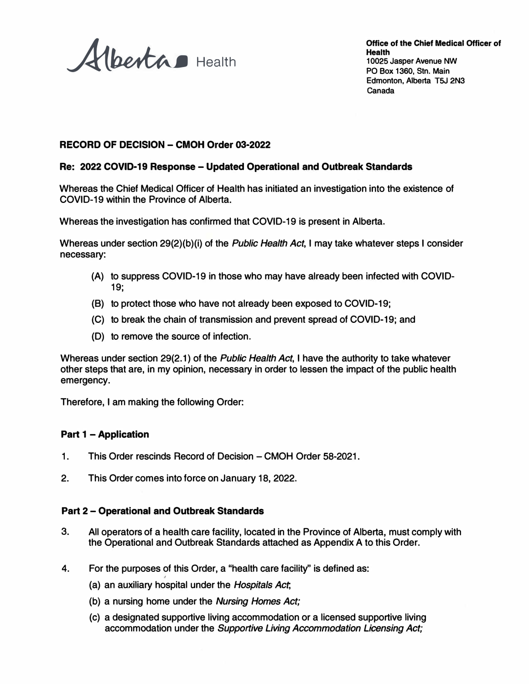Alberta Health

### **RECORD OF DECISION - CMOH Order 03-2022**

#### **Re: 2022 COVID-19 Response- Updated Operational and Outbreak Standards**

Whereas the Chief Medical Officer of Health has initiated an investigation into the existence of COVID-19 within the Province of Alberta.

Whereas the investigation has confirmed that COVID-19 is present in Alberta.

Whereas under section 29(2)(b)(i) of the *Public Health Act,* I may take whatever steps I consider necessary:

- (A) to suppress COVID-19 in those who may have already been infected with COVID-19;
- (B) to protect those who have not already been exposed to COVID-19;
- (C) to break the chain of transmission and prevent spread of COVID-19; and
- (D) to remove the source of infection.

Whereas under section 29(2.1) of the *Public Health Act,* I have the authority to take whatever other steps that are, in my opinion, necessary in order to lessen the impact of the public health emergency.

Therefore, I am making the following Order:

#### **Part 1 - Application**

- 1. This Order rescinds Record of Decision CMOH Order 58-2021.
- 2. This Order comes into force on January 18, 2022.

#### **Part 2 - Operational and Outbreak Standards**

- 3. All operators of a health care facility, located in the Province of Alberta, must comply with the Operational and Outbreak Standards attached as Appendix A to this Order.
- 4. For the purposes of this Order, a "health care facility'' is defined as:
	- (a) an auxiliary hospital under the *Hospitals Act,*
	- (b) a nursing home under the *Nursing Homes Act;*
	- (c) a designated supportive living accommodation or a licensed supportive living accommodation under the *Supportive Living Accommodation Licensing Act;*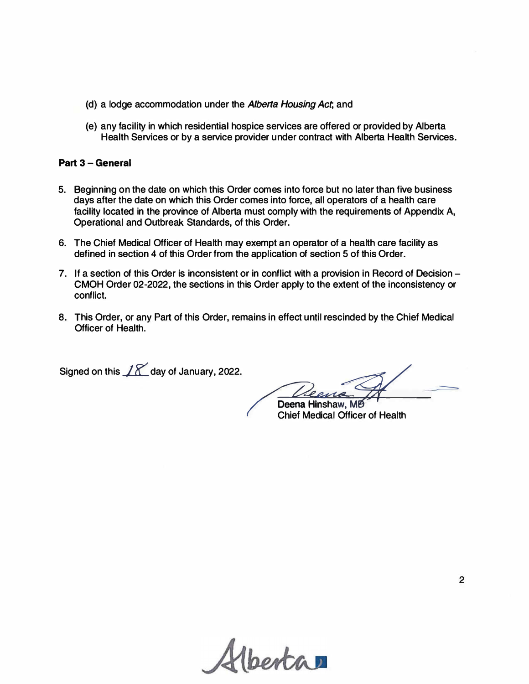- **(d) a lodge accommodation under the** *Alberta Housing Act,* **and**
- **( e) any facility in which residential hospice services are offered or provided by Alberta Health Services or by a service provider under contract with Alberta Health Services.**

#### **Part 3 - General**

- **5. Beginning on the date on which this Order comes into force but no later than five business days after the date on which this Order comes into force, all operators of a health care facility located in the province of Alberta must comply with the requirements of Appendix A, Operational and Outbreak Standards, of this Order.**
- **6. The Chief Medical Officer of Health may exempt an operator of a health care facility as defined in section 4 of this Order from the application of section 5 of this Order.**
- **7. If a section of this Order is inconsistent or in conflict with a provision in Record of Decision - CMOH Order 02-2022, the sections in this Order apply to the extent of the inconsistency or conflict.**
- **8. This Order, or any Part of this Order, remains in effect until rescinded by the Chief Medical Officer of Health.**

Signed on this  $\sqrt{\chi}$  day of January, 2022.

 $=$ 

**Deena Hinshaw, MB<sup>** $\sim$ **</sup><br>Chief Medical Officer of Health** 

*<u>Ibertan</u>*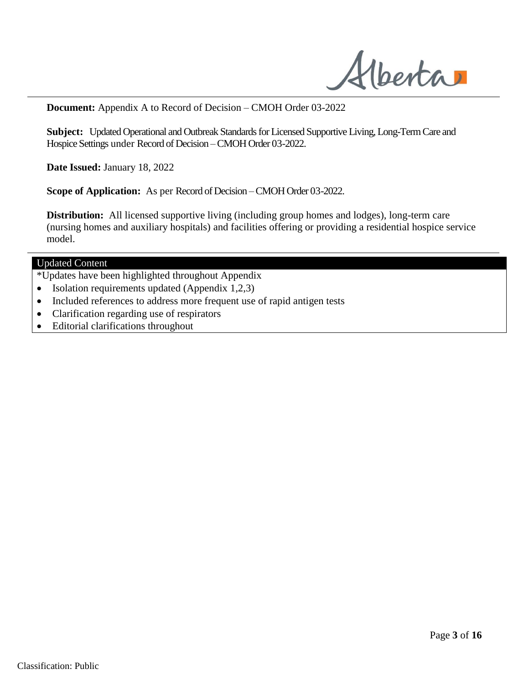Alberta

**Document:** Appendix A to Record of Decision – CMOH Order 03-2022

**Subject:** Updated Operational and Outbreak Standards for Licensed Supportive Living, Long-Term Care and Hospice Settings under Record of Decision –CMOH Order 03-2022.

**Date Issued:** January 18, 2022

**Scope of Application:** As per Record of Decision –CMOH Order 03-2022.

**Distribution:** All licensed supportive living (including group homes and lodges), long-term care (nursing homes and auxiliary hospitals) and facilities offering or providing a residential hospice service model.

### Updated Content

- \*Updates have been highlighted throughout Appendix
- Isolation requirements updated (Appendix  $1,2,3$ )
- Included references to address more frequent use of rapid antigen tests
- Clarification regarding use of respirators
- Editorial clarifications throughout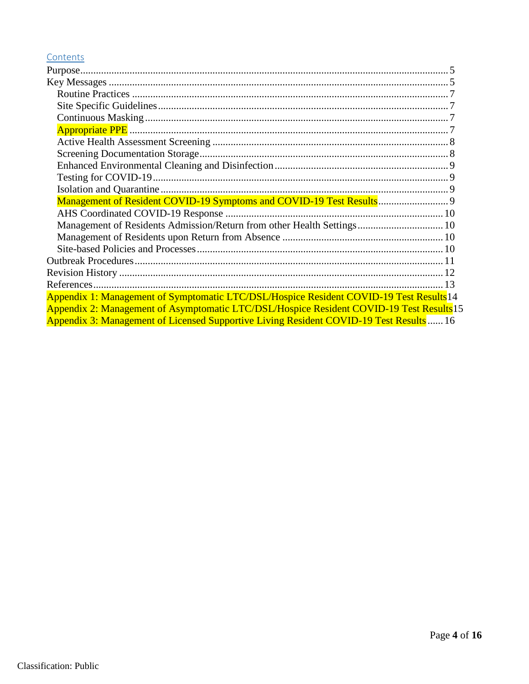# Contents

| Management of Residents Admission/Return from other Health Settings 10                             |  |
|----------------------------------------------------------------------------------------------------|--|
|                                                                                                    |  |
|                                                                                                    |  |
|                                                                                                    |  |
|                                                                                                    |  |
|                                                                                                    |  |
| Appendix 1: Management of Symptomatic LTC/DSL/Hospice Resident COVID-19 Test Results <sup>14</sup> |  |
| Appendix 2: Management of Asymptomatic LTC/DSL/Hospice Resident COVID-19 Test Results 15           |  |
| Appendix 3: Management of Licensed Supportive Living Resident COVID-19 Test Results  16            |  |
|                                                                                                    |  |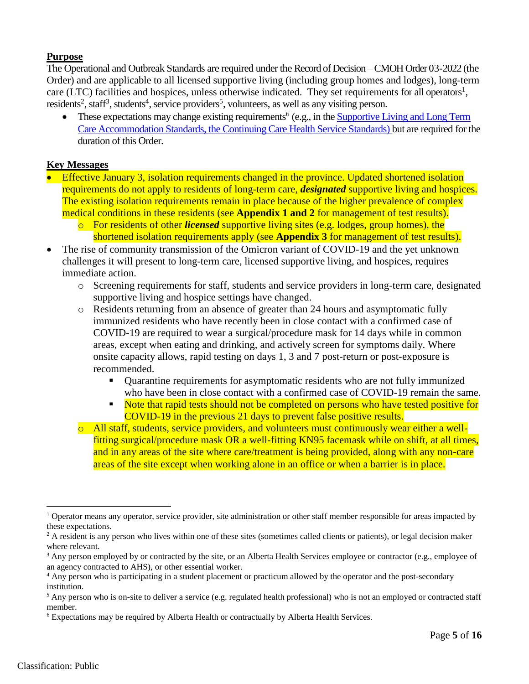# <span id="page-4-0"></span>**Purpose**

The Operational and Outbreak Standards are required under the Record of Decision –CMOH Order 03-2022 (the Order) and are applicable to all licensed supportive living (including group homes and lodges), long-term care (LTC) facilities and hospices, unless otherwise indicated. They set requirements for all operators<sup>1</sup>, residents<sup>2</sup>, staff<sup>3</sup>, students<sup>4</sup>, service providers<sup>5</sup>, volunteers, as well as any visiting person.

• These expectations may change existing requirements<sup>6</sup> (e.g., in the **Supportive Living and Long Term** [Care Accommodation Standards, the Continuing Care Health Service Standards\)](https://www.alberta.ca/continuing-care-accommodation-and-health-service-standards.aspx) but are required for the duration of this Order.

## <span id="page-4-1"></span>**Key Messages**

- Effective January 3, isolation requirements changed in the province. Updated shortened isolation requirements do not apply to residents of long-term care, *designated* supportive living and hospices. The existing isolation requirements remain in place because of the higher prevalence of complex medical conditions in these residents (see **Appendix 1 and 2** for management of test results).
	- o For residents of other *licensed* supportive living sites (e.g. lodges, group homes), the shortened isolation requirements apply (see **Appendix 3** for management of test results).
- The rise of community transmission of the Omicron variant of COVID-19 and the yet unknown challenges it will present to long-term care, licensed supportive living, and hospices, requires immediate action.
	- o Screening requirements for staff, students and service providers in long-term care, designated supportive living and hospice settings have changed.
	- o Residents returning from an absence of greater than 24 hours and asymptomatic fully immunized residents who have recently been in close contact with a confirmed case of COVID-19 are required to wear a surgical/procedure mask for 14 days while in common areas, except when eating and drinking, and actively screen for symptoms daily. Where onsite capacity allows, rapid testing on days 1, 3 and 7 post-return or post-exposure is recommended.
		- Quarantine requirements for asymptomatic residents who are not fully immunized who have been in close contact with a confirmed case of COVID-19 remain the same.
		- Note that rapid tests should not be completed on persons who have tested positive for COVID-19 in the previous 21 days to prevent false positive results.
	- o All staff, students, service providers, and volunteers must continuously wear either a wellfitting surgical/procedure mask OR a well-fitting KN95 facemask while on shift, at all times, and in any areas of the site where care/treatment is being provided, along with any non-care areas of the site except when working alone in an office or when a barrier is in place.

<sup>&</sup>lt;sup>1</sup> Operator means any operator, service provider, site administration or other staff member responsible for areas impacted by these expectations.

 $2$  A resident is any person who lives within one of these sites (sometimes called clients or patients), or legal decision maker where relevant.

<sup>&</sup>lt;sup>3</sup> Any person employed by or contracted by the site, or an Alberta Health Services employee or contractor (e.g., employee of an agency contracted to AHS), or other essential worker.

<sup>&</sup>lt;sup>4</sup> Any person who is participating in a student placement or practicum allowed by the operator and the post-secondary institution.

<sup>&</sup>lt;sup>5</sup> Any person who is on-site to deliver a service (e.g. regulated health professional) who is not an employed or contracted staff member.

<sup>6</sup> Expectations may be required by Alberta Health or contractually by Alberta Health Services.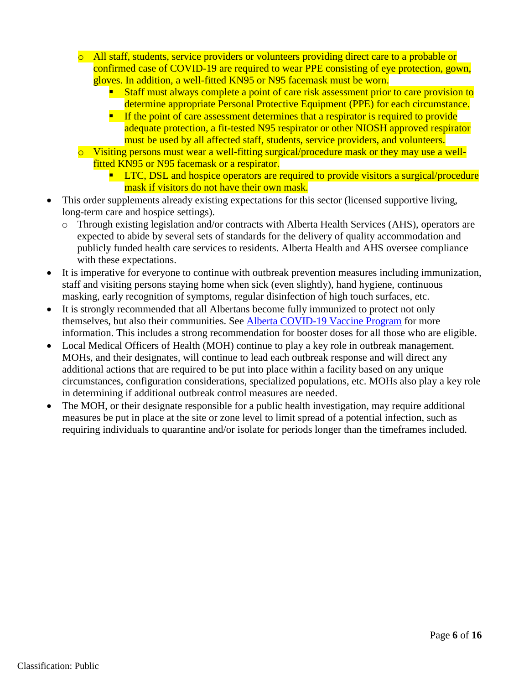- o All staff, students, service providers or volunteers providing direct care to a probable or confirmed case of COVID-19 are required to wear PPE consisting of eye protection, gown, gloves. In addition, a well-fitted KN95 or N95 facemask must be worn.
	- Staff must always complete a point of care risk assessment prior to care provision to determine appropriate Personal Protective Equipment (PPE) for each circumstance.
	- **If the point of care assessment determines that a respirator is required to provide** adequate protection, a fit-tested N95 respirator or other NIOSH approved respirator must be used by all affected staff, students, service providers, and volunteers.
- o Visiting persons must wear a well-fitting surgical/procedure mask or they may use a wellfitted KN95 or N95 facemask or a respirator.
	- **LTC, DSL and hospice operators are required to provide visitors a surgical/procedure** mask if visitors do not have their own mask.
- This order supplements already existing [expectations](https://www.alberta.ca/continuing-care-accommodation-and-health-service-standards.aspx) for this sector (licensed supportive living, long-term care and hospice settings).
	- o Through existing legislation and/or contracts with Alberta Health Services (AHS), operators are expected to abide by several sets of standards for the delivery of quality accommodation and publicly funded health care services to residents. Alberta Health and AHS oversee compliance with these expectations.
- It is imperative for everyone to continue with outbreak prevention measures including immunization, staff and visiting persons staying home when sick (even slightly), hand hygiene, continuous masking, early recognition of symptoms, regular disinfection of high touch surfaces, etc.
- It is strongly recommended that all Albertans become fully immunized to protect not only themselves, but also their communities. See [Alberta COVID-19 Vaccine Program](https://www.alberta.ca/covid19-vaccine.aspx) for more information. This includes a strong recommendation for booster doses for all those who are eligible.
- Local Medical Officers of Health (MOH) continue to play a key role in outbreak management. MOHs, and their designates, will continue to lead each outbreak response and will direct any additional actions that are required to be put into place within a facility based on any unique circumstances, configuration considerations, specialized populations, etc. MOHs also play a key role in determining if additional outbreak control measures are needed.
- The MOH, or their designate responsible for a public health investigation, may require additional measures be put in place at the site or zone level to limit spread of a potential infection, such as requiring individuals to quarantine and/or isolate for periods longer than the timeframes included.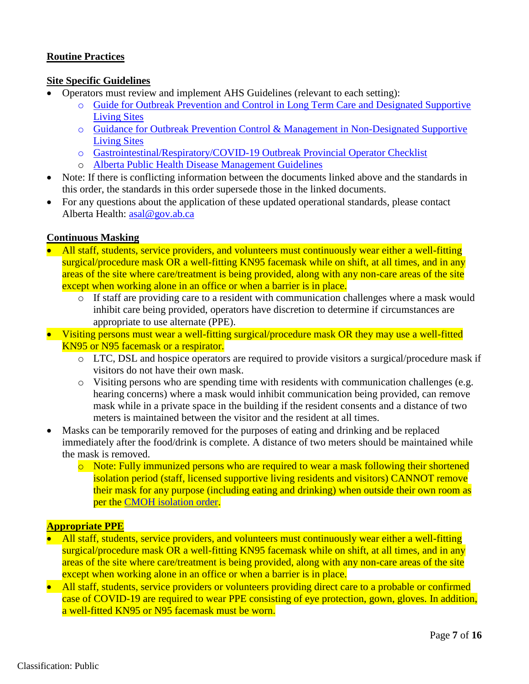# <span id="page-6-0"></span>**Routine Practices**

# <span id="page-6-1"></span>**Site Specific Guidelines**

- Operators must review and implement AHS Guidelines (relevant to each setting):
	- o [Guide for Outbreak Prevention and Control in Long Term Care and Designated Supportive](https://can01.safelinks.protection.outlook.com/?url=https%3A%2F%2Fwww.albertahealthservices.ca%2Fassets%2Fhealthinfo%2Fflu%2Fhi-flu-prov-hlsl.pdf&data=04%7C01%7Callison.lacey%40gov.ab.ca%7Ccb4c62b6a300414796c608d9c636ec07%7C2bb51c06af9b42c58bf53c3b7b10850b%7C0%7C0%7C637758761926792212%7CUnknown%7CTWFpbGZsb3d8eyJWIjoiMC4wLjAwMDAiLCJQIjoiV2luMzIiLCJBTiI6Ik1haWwiLCJXVCI6Mn0%3D%7C3000&sdata=s15R%2FLTdUFo7bGqcvNVI%2FuSQOKRLSwpN%2BI4FUJTCZ6I%3D&reserved=0) [Living Sites](https://can01.safelinks.protection.outlook.com/?url=https%3A%2F%2Fwww.albertahealthservices.ca%2Fassets%2Fhealthinfo%2Fflu%2Fhi-flu-prov-hlsl.pdf&data=04%7C01%7Callison.lacey%40gov.ab.ca%7Ccb4c62b6a300414796c608d9c636ec07%7C2bb51c06af9b42c58bf53c3b7b10850b%7C0%7C0%7C637758761926792212%7CUnknown%7CTWFpbGZsb3d8eyJWIjoiMC4wLjAwMDAiLCJQIjoiV2luMzIiLCJBTiI6Ik1haWwiLCJXVCI6Mn0%3D%7C3000&sdata=s15R%2FLTdUFo7bGqcvNVI%2FuSQOKRLSwpN%2BI4FUJTCZ6I%3D&reserved=0)
	- o [Guidance for Outbreak Prevention Control & Management in Non-Designated Supportive](https://can01.safelinks.protection.outlook.com/?url=https%3A%2F%2Fwww.albertahealthservices.ca%2Fassets%2Fhealthinfo%2Fflu%2Fhi-flu-care-and-treat-guidelines.pdf&data=04%7C01%7Callison.lacey%40gov.ab.ca%7Ccb4c62b6a300414796c608d9c636ec07%7C2bb51c06af9b42c58bf53c3b7b10850b%7C0%7C0%7C637758761926792212%7CUnknown%7CTWFpbGZsb3d8eyJWIjoiMC4wLjAwMDAiLCJQIjoiV2luMzIiLCJBTiI6Ik1haWwiLCJXVCI6Mn0%3D%7C3000&sdata=U1JPG5RZ9X200YsIAScKoeyWJ%2FYAG075JRtIONX228E%3D&reserved=0) [Living Sites](https://can01.safelinks.protection.outlook.com/?url=https%3A%2F%2Fwww.albertahealthservices.ca%2Fassets%2Fhealthinfo%2Fflu%2Fhi-flu-care-and-treat-guidelines.pdf&data=04%7C01%7Callison.lacey%40gov.ab.ca%7Ccb4c62b6a300414796c608d9c636ec07%7C2bb51c06af9b42c58bf53c3b7b10850b%7C0%7C0%7C637758761926792212%7CUnknown%7CTWFpbGZsb3d8eyJWIjoiMC4wLjAwMDAiLCJQIjoiV2luMzIiLCJBTiI6Ik1haWwiLCJXVCI6Mn0%3D%7C3000&sdata=U1JPG5RZ9X200YsIAScKoeyWJ%2FYAG075JRtIONX228E%3D&reserved=0)
	- o [Gastrointestinal/Respiratory/COVID-19 Outbreak Provincial Operator Checklist](https://can01.safelinks.protection.outlook.com/?url=https%3A%2F%2Fwww.albertahealthservices.ca%2Fassets%2Fhealthinfo%2Fipc%2Fhi-ipc-prov-gi-resp-operators-checklist.pdf&data=04%7C01%7Callison.lacey%40gov.ab.ca%7Ccb4c62b6a300414796c608d9c636ec07%7C2bb51c06af9b42c58bf53c3b7b10850b%7C0%7C0%7C637758761926792212%7CUnknown%7CTWFpbGZsb3d8eyJWIjoiMC4wLjAwMDAiLCJQIjoiV2luMzIiLCJBTiI6Ik1haWwiLCJXVCI6Mn0%3D%7C3000&sdata=SwKWHH5BiOP4q2FP7V9Tcu60zHf8ClHs37LLEdYk7jE%3D&reserved=0)
	- o [Alberta Public Health Disease Management](https://open.alberta.ca/publications/coronavirus-covid-19) Guidelines
- Note: If there is conflicting information between the documents linked above and the standards in this order, the standards in this order supersede those in the linked documents.
- For any questions about the application of these updated operational standards, please contact Alberta Health: [asal@gov.ab.ca](mailto:asal@gov.ab.ca)

# <span id="page-6-2"></span>**Continuous Masking**

- All staff, students, service providers, and volunteers must continuously wear either a well-fitting surgical/procedure mask OR a well-fitting KN95 facemask while on shift, at all times, and in any areas of the site where care/treatment is being provided, along with any non-care areas of the site except when working alone in an office or when a barrier is in place.
	- o If staff are providing care to a resident with communication challenges where a mask would inhibit care being provided, operators have discretion to determine if circumstances are appropriate to use alternate (PPE).
- Visiting persons must wear a well-fitting surgical/procedure mask OR they may use a well-fitted KN95 or N95 facemask or a respirator.
	- o LTC, DSL and hospice operators are required to provide visitors a surgical/procedure mask if visitors do not have their own mask.
	- o Visiting persons who are spending time with residents with communication challenges (e.g. hearing concerns) where a mask would inhibit communication being provided, can remove mask while in a private space in the building if the resident consents and a distance of two meters is maintained between the visitor and the resident at all times.
- Masks can be temporarily removed for the purposes of eating and drinking and be replaced immediately after the food/drink is complete. A distance of two meters should be maintained while the mask is removed.
	- o Note: Fully immunized persons who are required to wear a mask following their shortened isolation period (staff, licensed supportive living residents and visitors) CANNOT remove their mask for any purpose (including eating and drinking) when outside their own room as per the [CMOH isolation order.](https://www.alberta.ca/isolation.aspx)

# <span id="page-6-3"></span>**Appropriate PPE**

- All staff, students, service providers, and volunteers must continuously wear either a well-fitting surgical/procedure mask OR a well-fitting KN95 facemask while on shift, at all times, and in any areas of the site where care/treatment is being provided, along with any non-care areas of the site except when working alone in an office or when a barrier is in place.
- All staff, students, service providers or volunteers providing direct care to a probable or confirmed case of COVID-19 are required to wear PPE consisting of eye protection, gown, gloves. In addition, a well-fitted KN95 or N95 facemask must be worn.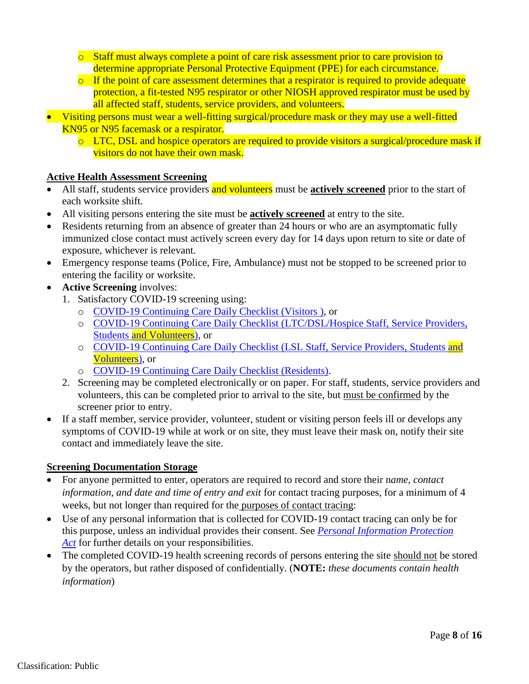- o Staff must always complete a point of care risk assessment prior to care provision to determine appropriate Personal Protective Equipment (PPE) for each circumstance.
- $\circ$  If the point of care assessment determines that a respirator is required to provide adequate protection, a fit-tested N95 respirator or other NIOSH approved respirator must be used by all affected staff, students, service providers, and volunteers.
- Visiting persons must wear a well-fitting surgical/procedure mask or they may use a well-fitted KN95 or N95 facemask or a respirator.
	- o LTC, DSL and hospice operators are required to provide visitors a surgical/procedure mask if visitors do not have their own mask.

## <span id="page-7-0"></span>**Active Health Assessment Screening**

- All staff, students service providers and volunteers must be **actively screened** prior to the start of each worksite shift.
- All visiting persons entering the site must be **actively screened** at entry to the site.
- Residents returning from an absence of greater than 24 hours or who are an asymptomatic fully immunized close contact must actively screen every day for 14 days upon return to site or date of exposure, whichever is relevant.
- Emergency response teams (Police, Fire, Ambulance) must not be stopped to be screened prior to entering the facility or worksite.
- **Active Screening** involves:
	- 1. Satisfactory COVID-19 screening using:
		- o [COVID-19 Continuing Care Daily Checklist \(Visitors \)](https://open.alberta.ca/publications/covid-19-information-alberta-health-daily-checklist), or
		- o [COVID-19 Continuing Care Daily Checklist \(LTC/DSL/Hospice Staff, Service Providers,](https://open.alberta.ca/publications/covid-19-information-alberta-health-daily-checklist) Students [and Volunteers\),](https://open.alberta.ca/publications/covid-19-information-alberta-health-daily-checklist) or
		- o [COVID-19 Continuing Care Daily Checklist \(LSL Staff, Service Providers, Students](https://open.alberta.ca/publications/covid-19-information-alberta-health-daily-checklist) and [Volunteers\),](https://open.alberta.ca/publications/covid-19-information-alberta-health-daily-checklist) or
		- o [COVID-19 Continuing Care Daily Checklist \(Residents\).](https://open.alberta.ca/publications/covid-19-information-alberta-health-daily-checklist)
	- 2. Screening may be completed electronically or on paper. For staff, students, service providers and volunteers, this can be completed prior to arrival to the site, but must be confirmed by the screener prior to entry.
- If a staff member, service provider, volunteer, student or visiting person feels ill or develops any symptoms of COVID-19 while at work or on site, they must leave their mask on, notify their site contact and immediately leave the site.

### <span id="page-7-1"></span>**Screening Documentation Storage**

- For anyone permitted to enter, operators are required to record and store their n*ame, contact information, and date and time of entry and exit* for contact tracing purposes, for a minimum of 4 weeks, but not longer than required for the purposes of contact tracing:
- Use of any personal information that is collected for COVID-19 contact tracing can only be for this purpose, unless an individual provides their consent. See *[Personal Information Protection](https://www.alberta.ca/collecting-personal-information.aspx) [Act](https://www.alberta.ca/collecting-personal-information.aspx)* for further details on your responsibilities.
- <span id="page-7-2"></span>• The completed COVID-19 health screening records of persons entering the site should not be stored by the operators, but rather disposed of confidentially. (**NOTE:** *these documents contain health information*)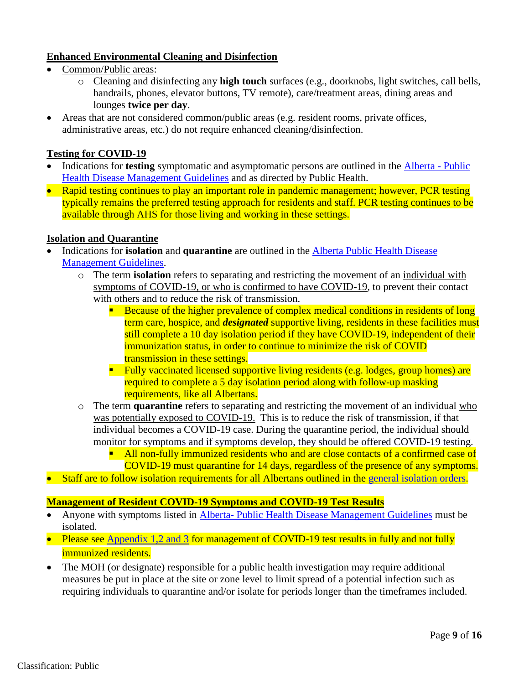# **Enhanced Environmental Cleaning and Disinfection**

- Common/Public areas:
	- o Cleaning and disinfecting any **high touch** surfaces (e.g., doorknobs, light switches, call bells, handrails, phones, elevator buttons, TV remote), care/treatment areas, dining areas and lounges **twice per day**.
- Areas that are not considered common/public areas (e.g. resident rooms, private offices, administrative areas, etc.) do not require enhanced cleaning/disinfection.

# <span id="page-8-0"></span>**Testing for COVID-19**

- Indications for **testing** symptomatic and asymptomatic persons are outlined in the [Alberta](https://open.alberta.ca/publications/coronavirus-covid-19) Public [Health Disease Management Guidelines](https://open.alberta.ca/publications/coronavirus-covid-19) and as directed by Public Health.
- Rapid testing continues to play an important role in pandemic management; however, PCR testing typically remains the preferred testing approach for residents and staff. PCR testing continues to be available through AHS for those living and working in these settings.

## <span id="page-8-1"></span>**Isolation and Quarantine**

- Indications for **isolation** and **quarantine** are outlined in the [Alberta Public Health Disease](https://open.alberta.ca/publications/coronavirus-covid-19) [Management Guidelines.](https://open.alberta.ca/publications/coronavirus-covid-19)
	- o The term **isolation** refers to separating and restricting the movement of an individual with symptoms of COVID-19, or who is confirmed to have COVID-19, to prevent their contact with others and to reduce the risk of transmission.
		- Because of the higher prevalence of complex medical conditions in residents of long term care, hospice, and *designated* supportive living, residents in these facilities must still complete a 10 day isolation period if they have COVID-19, independent of their immunization status, in order to continue to minimize the risk of COVID transmission in these settings.
		- **Fully vaccinated licensed supportive living residents (e.g. lodges, group homes) are** required to complete a 5 day isolation period along with follow-up masking requirements, like all Albertans.
	- o The term **quarantine** refers to separating and restricting the movement of an individual who was potentially exposed to COVID-19. This is to reduce the risk of transmission, if that individual becomes a COVID-19 case. During the quarantine period, the individual should monitor for symptoms and if symptoms develop, they should be offered COVID-19 testing.
		- All non-fully immunized residents who and are close contacts of a confirmed case of COVID-19 must quarantine for 14 days, regardless of the presence of any symptoms.
- Staff are to follow isolation requirements for all Albertans outlined in the [general isolation orders.](https://www.alberta.ca/isolation.aspx)

### <span id="page-8-2"></span>**Management of Resident COVID-19 Symptoms and COVID-19 Test Results**

- Anyone with symptoms listed in Alberta- Public Health [Disease Management Guidelines](https://open.alberta.ca/publications/coronavirus-covid-19) must be isolated.
- Please see [Appendix 1,2 and 3](#page-13-0) for management of COVID-19 test results in fully and not fully immunized residents.
- The MOH (or designate) responsible for a public health investigation may require additional measures be put in place at the site or zone level to limit spread of a potential infection such as requiring individuals to quarantine and/or isolate for periods longer than the timeframes included.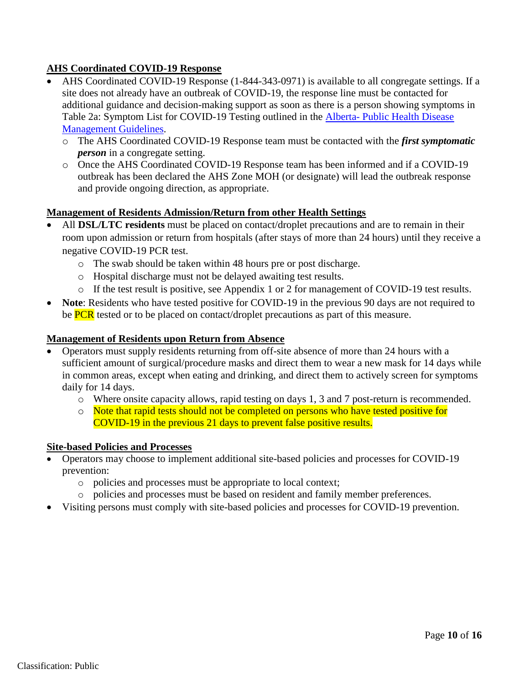# <span id="page-9-0"></span>**AHS Coordinated COVID-19 Response**

- AHS Coordinated COVID-19 Response (1-844-343-0971) is available to all congregate settings. If a site does not already have an outbreak of COVID-19, the response line must be contacted for additional guidance and decision-making support as soon as there is a person showing symptoms in Table 2a: Symptom List for COVID-19 Testing outlined in the Alberta- [Public Health Disease](https://open.alberta.ca/publications/coronavirus-covid-19) [Management Guidelines.](https://open.alberta.ca/publications/coronavirus-covid-19)
	- o The AHS Coordinated COVID-19 Response team must be contacted with the *first symptomatic person* in a congregate setting.
	- o Once the AHS Coordinated COVID-19 Response team has been informed and if a COVID-19 outbreak has been declared the AHS Zone MOH (or designate) will lead the outbreak response and provide ongoing direction, as appropriate.

### <span id="page-9-1"></span>**Management of Residents Admission/Return from other Health Settings**

- All **DSL/LTC residents** must be placed on contact/droplet precautions and are to remain in their room upon admission or return from hospitals (after stays of more than 24 hours) until they receive a negative COVID-19 PCR test.
	- o The swab should be taken within 48 hours pre or post discharge.
	- o Hospital discharge must not be delayed awaiting test results.
	- o If the test result is positive, see Appendix 1 or 2 for management of COVID-19 test results.
- **Note:** Residents who have tested positive for COVID-19 in the previous 90 days are not required to be **PCR** tested or to be placed on contact/droplet precautions as part of this measure.

### <span id="page-9-2"></span>**Management of Residents upon Return from Absence**

- Operators must supply residents returning from off-site absence of more than 24 hours with a sufficient amount of surgical/procedure masks and direct them to wear a new mask for 14 days while in common areas, except when eating and drinking, and direct them to actively screen for symptoms daily for 14 days.
	- o Where onsite capacity allows, rapid testing on days 1, 3 and 7 post-return is recommended.
	- o Note that rapid tests should not be completed on persons who have tested positive for COVID-19 in the previous 21 days to prevent false positive results.

#### <span id="page-9-3"></span>**Site-based Policies and Processes**

- Operators may choose to implement additional site-based policies and processes for COVID-19 prevention:
	- o policies and processes must be appropriate to local context;
	- o policies and processes must be based on resident and family member preferences.
- Visiting persons must comply with site-based policies and processes for COVID-19 prevention.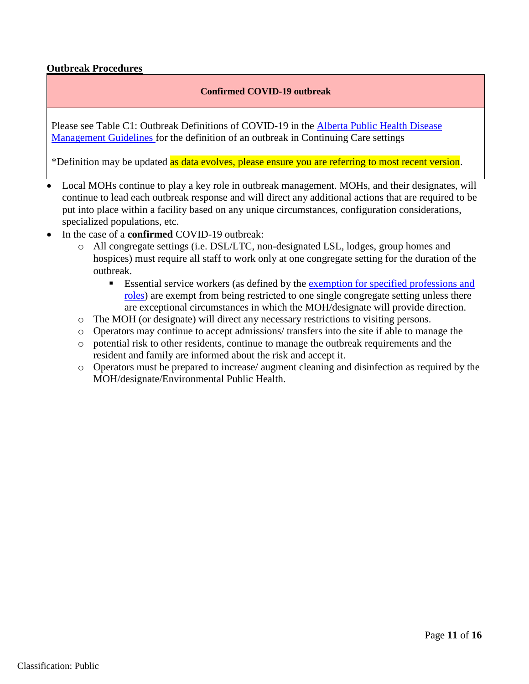## <span id="page-10-0"></span>**Outbreak Procedures**

#### **Confirmed COVID-19 outbreak**

Please see Table C1: Outbreak Definitions of COVID-19 in the Alberta [Public Health Disease](https://open.alberta.ca/publications/coronavirus-covid-19)  [Management Guidelines](https://open.alberta.ca/publications/coronavirus-covid-19) for the definition of an outbreak in Continuing Care settings

\*Definition may be updated as data evolves, please ensure you are referring to most recent version.

- Local MOHs continue to play a key role in outbreak management. MOHs, and their designates, will continue to lead each outbreak response and will direct any additional actions that are required to be put into place within a facility based on any unique circumstances, configuration considerations, specialized populations, etc.
- In the case of a **confirmed** COVID-19 outbreak:
	- o All congregate settings (i.e. DSL/LTC, non-designated LSL, lodges, group homes and hospices) must require all staff to work only at one congregate setting for the duration of the outbreak.
		- **Essential service workers (as defined by the [exemption for specified professions and](https://open.alberta.ca/publications/cmoh-orders-10-2020-and-32-2020-exemption-single-site)** [roles\)](https://open.alberta.ca/publications/cmoh-orders-10-2020-and-32-2020-exemption-single-site) are exempt from being restricted to one single congregate setting unless there are exceptional circumstances in which the MOH/designate will provide direction.
	- o The MOH (or designate) will direct any necessary restrictions to visiting persons.
	- o Operators may continue to accept admissions/ transfers into the site if able to manage the
	- o potential risk to other residents, continue to manage the outbreak requirements and the resident and family are informed about the risk and accept it.
	- o Operators must be prepared to increase/ augment cleaning and disinfection as required by the MOH/designate/Environmental Public Health.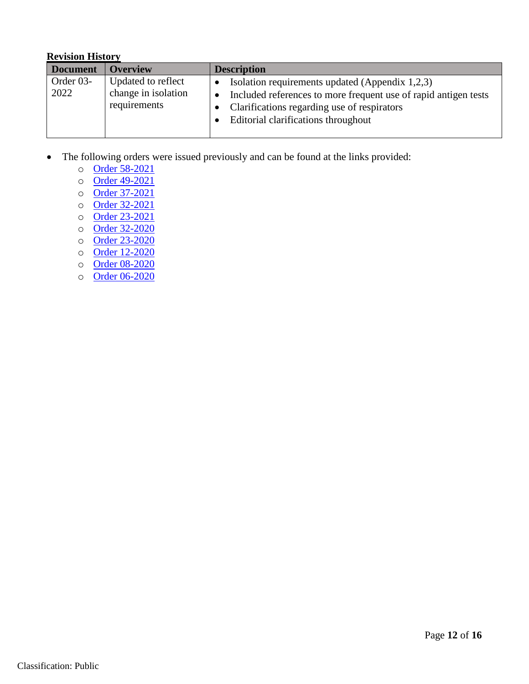## <span id="page-11-0"></span>**Revision History**

| <b>Document</b>   | <b>Overview</b>                                           | <b>Description</b>                                                                                                                                                                                       |
|-------------------|-----------------------------------------------------------|----------------------------------------------------------------------------------------------------------------------------------------------------------------------------------------------------------|
| Order 03-<br>2022 | Updated to reflect<br>change in isolation<br>requirements | Isolation requirements updated (Appendix 1,2,3)<br>Included references to more frequent use of rapid antigen tests<br>Clarifications regarding use of respirators<br>Editorial clarifications throughout |

- The following orders were issued previously and can be found at the links provided:
	- o [Order 58-2021](https://open.alberta.ca/dataset/fa1753d5-ad6c-4678-9f43-aef7840b9af0/resource/4fcbcd1c-299a-4782-b731-a1d9b1124951/download/health-cmoh-record-of-decision-cmoh-order-58-2021.pdf)
	- o [Order 49-2021](https://open.alberta.ca/dataset/7714c8ce-aa59-4298-b39f-0d6ff616aafd/resource/2b2df597-94cf-4696-95ff-8679570f1545/download/health-cmoh-record-of-decision-cmoh-order-49-2021.pdf)
	- o [Order 37-2021](https://open.alberta.ca/publications/cmoh-order-37-2021)
	- o [Order 32-2021](https://open.alberta.ca/publications/cmoh-order-32-2021)
	- o [Order 23-2021](https://open.alberta.ca/publications/cmoh-order-23-2021)
	- o [Order 32-2020](https://open.alberta.ca/publications/cmoh-order-32-2020-which-amends-cmoh-order-10-2020-covid-19-response)
	- o [Order 23-2020](https://open.alberta.ca/publications/cmoh-order-23-2020-2020-covid-19-response)
	- o [Order 12-2020](https://open.alberta.ca/publications/cmoh-order-12-2020-2020-covid-19-response)
	- o [Order 08-2020](https://open.alberta.ca/publications/cmoh-order-08-2020-2020-covid-19-response)
	- o [Order 06-2020](https://open.alberta.ca/publications/cmoh-order-06-2020-2020-covid-19-response)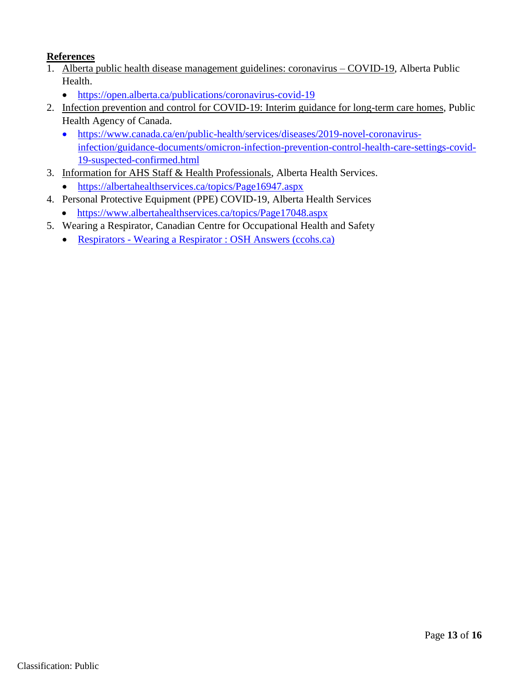# <span id="page-12-0"></span>**References**

- 1. Alberta public health disease management guidelines: coronavirus COVID-19, Alberta Public Health.
	- <https://open.alberta.ca/publications/coronavirus-covid-19>
- 2. Infection prevention and control for COVID-19: Interim guidance for long-term care homes, Public Health Agency of Canada.
	- [https://www.canada.ca/en/public-health/services/diseases/2019-novel-coronavirus](https://www.canada.ca/en/public-health/services/diseases/2019-novel-coronavirus-infection/guidance-documents/omicron-infection-prevention-control-health-care-settings-covid-19-suspected-confirmed.html)[infection/guidance-documents/omicron-infection-prevention-control-health-care-settings-covid-](https://www.canada.ca/en/public-health/services/diseases/2019-novel-coronavirus-infection/guidance-documents/omicron-infection-prevention-control-health-care-settings-covid-19-suspected-confirmed.html)[19-suspected-confirmed.html](https://www.canada.ca/en/public-health/services/diseases/2019-novel-coronavirus-infection/guidance-documents/omicron-infection-prevention-control-health-care-settings-covid-19-suspected-confirmed.html)
- 3. Information for AHS Staff & Health Professionals, Alberta Health Services.
	- <https://albertahealthservices.ca/topics/Page16947.aspx>
- 4. Personal Protective Equipment (PPE) COVID-19, Alberta Health Services
	- <https://www.albertahealthservices.ca/topics/Page17048.aspx>
- 5. Wearing a Respirator, Canadian Centre for Occupational Health and Safety
	- Respirators [Wearing a Respirator : OSH Answers \(ccohs.ca\)](https://www.ccohs.ca/oshanswers/prevention/ppe/wearing.html?=undefined&wbdisable=true)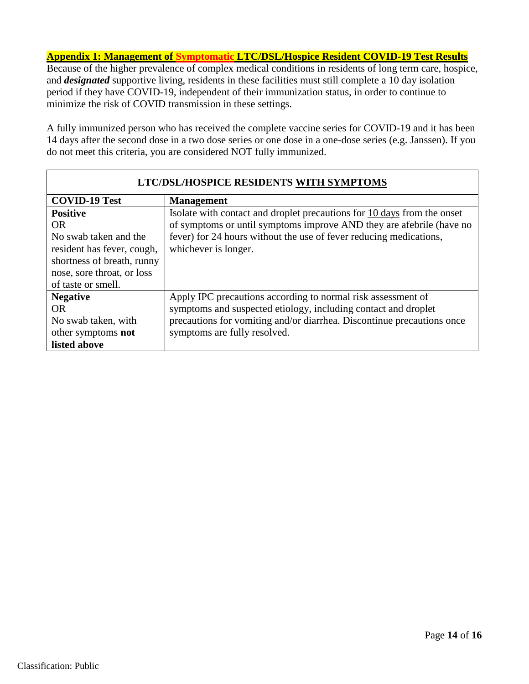<span id="page-13-0"></span>**Appendix 1: Management of Symptomatic LTC/DSL/Hospice Resident COVID-19 Test Results**

Because of the higher prevalence of complex medical conditions in residents of long term care, hospice, and *designated* supportive living, residents in these facilities must still complete a 10 day isolation period if they have COVID-19, independent of their immunization status, in order to continue to minimize the risk of COVID transmission in these settings.

A fully immunized person who has received the complete vaccine series for COVID-19 and it has been 14 days after the second dose in a two dose series or one dose in a one-dose series (e.g. Janssen). If you do not meet this criteria, you are considered NOT fully immunized.

| LTC/DSL/HOSPICE RESIDENTS WITH SYMPTOMS |                                                                         |  |  |  |
|-----------------------------------------|-------------------------------------------------------------------------|--|--|--|
| <b>COVID-19 Test</b>                    | <b>Management</b>                                                       |  |  |  |
| <b>Positive</b>                         | Isolate with contact and droplet precautions for 10 days from the onset |  |  |  |
| <b>OR</b>                               | of symptoms or until symptoms improve AND they are afebrile (have no    |  |  |  |
| No swab taken and the                   | fever) for 24 hours without the use of fever reducing medications,      |  |  |  |
| resident has fever, cough,              | whichever is longer.                                                    |  |  |  |
| shortness of breath, runny              |                                                                         |  |  |  |
| nose, sore throat, or loss              |                                                                         |  |  |  |
| of taste or smell.                      |                                                                         |  |  |  |
| <b>Negative</b>                         | Apply IPC precautions according to normal risk assessment of            |  |  |  |
| <b>OR</b>                               | symptoms and suspected etiology, including contact and droplet          |  |  |  |
| No swab taken, with                     | precautions for vomiting and/or diarrhea. Discontinue precautions once  |  |  |  |
| other symptoms not                      | symptoms are fully resolved.                                            |  |  |  |
| listed above                            |                                                                         |  |  |  |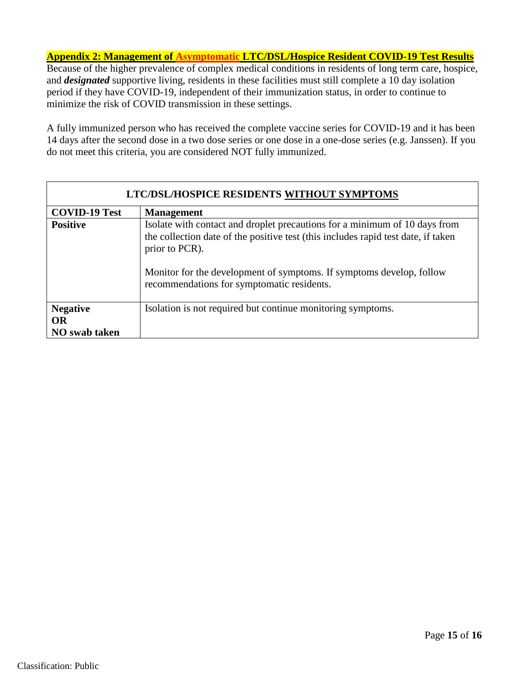<span id="page-14-0"></span>**Appendix 2: Management of Asymptomatic LTC/DSL/Hospice Resident COVID-19 Test Results** Because of the higher prevalence of complex medical conditions in residents of long term care, hospice, and *designated* supportive living, residents in these facilities must still complete a 10 day isolation period if they have COVID-19, independent of their immunization status, in order to continue to

minimize the risk of COVID transmission in these settings.

A fully immunized person who has received the complete vaccine series for COVID-19 and it has been 14 days after the second dose in a two dose series or one dose in a one-dose series (e.g. Janssen). If you do not meet this criteria, you are considered NOT fully immunized.

| LTC/DSL/HOSPICE RESIDENTS WITHOUT SYMPTOMS |                                                                                                                                                                                                                                                                                                         |  |  |  |  |
|--------------------------------------------|---------------------------------------------------------------------------------------------------------------------------------------------------------------------------------------------------------------------------------------------------------------------------------------------------------|--|--|--|--|
| <b>COVID-19 Test</b>                       | <b>Management</b>                                                                                                                                                                                                                                                                                       |  |  |  |  |
| <b>Positive</b>                            | Isolate with contact and droplet precautions for a minimum of 10 days from<br>the collection date of the positive test (this includes rapid test date, if taken<br>prior to PCR).<br>Monitor for the development of symptoms. If symptoms develop, follow<br>recommendations for symptomatic residents. |  |  |  |  |
| <b>Negative</b>                            | Isolation is not required but continue monitoring symptoms.                                                                                                                                                                                                                                             |  |  |  |  |
| <b>OR</b>                                  |                                                                                                                                                                                                                                                                                                         |  |  |  |  |
| <b>NO</b> swab taken                       |                                                                                                                                                                                                                                                                                                         |  |  |  |  |